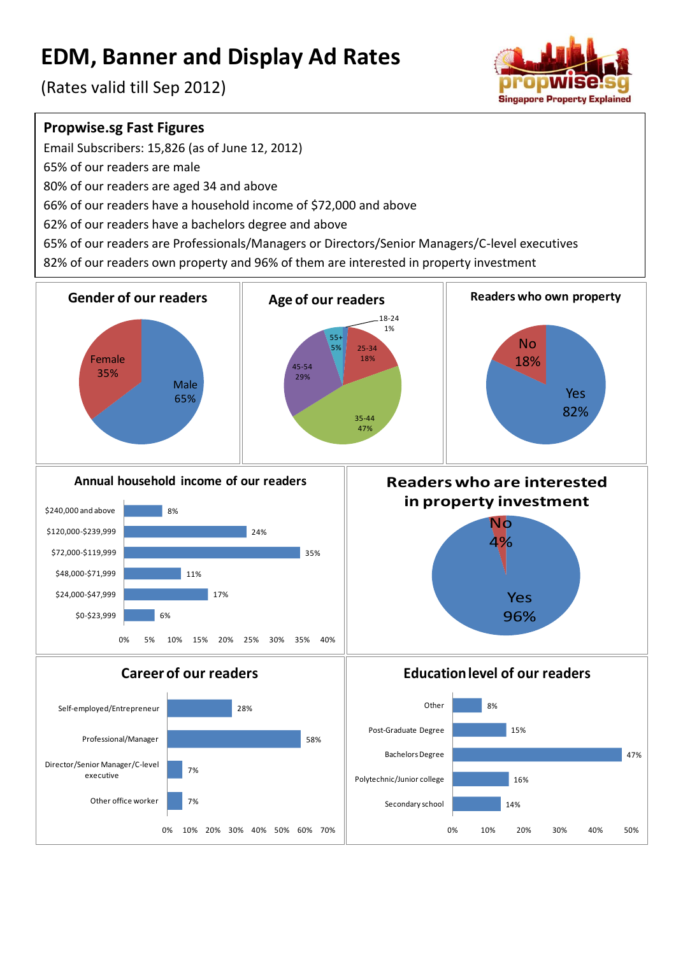# **EDM, Banner and Display Ad Rates**

(Rates valid till Sep 2012)



#### **Propwise.sg Fast Figures**

Email Subscribers: 15,826 (as of June 12, 2012)

65% of our readers are male

80% of our readers are aged 34 and above

66% of our readers have a household income of \$72,000 and above

62% of our readers have a bachelors degree and above

65% of our readers are Professionals/Managers or Directors/Senior Managers/C-level executives

82% of our readers own property and 96% of them are interested in property investment

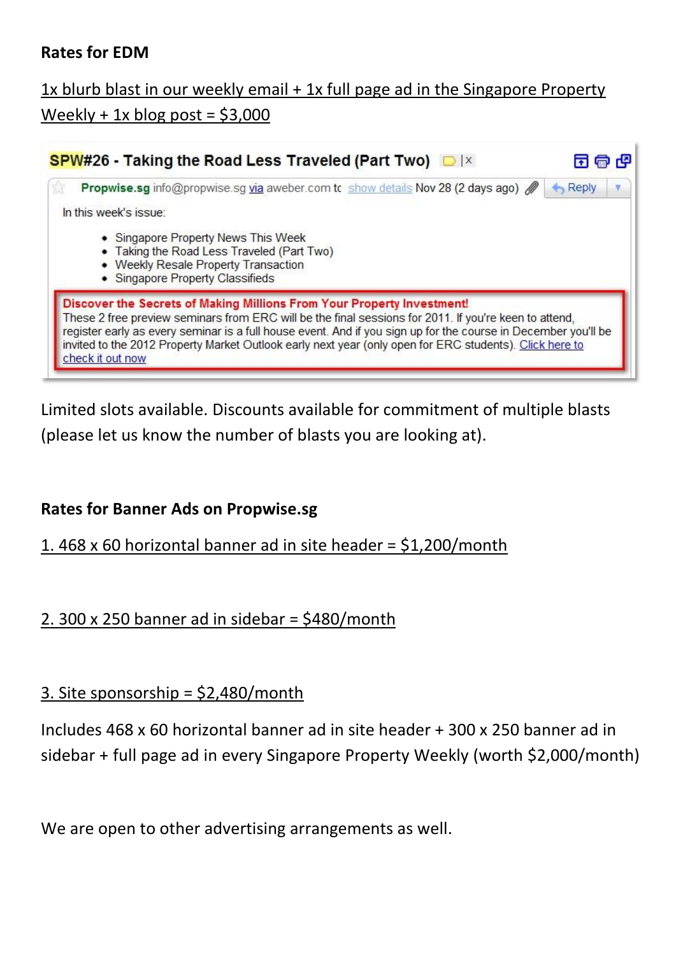## **Rates for EDM**

# 1x blurb blast in our weekly email + 1x full page ad in the Singapore Property Weekly + 1x blog post =  $$3,000$



Limited slots available. Discounts available for commitment of multiple blasts (please let us know the number of blasts you are looking at).

#### **Rates for Banner Ads on Propwise.sg**

#### 1. 468 x 60 horizontal banner ad in site header = \$1,200/month

#### 2. 300 x 250 banner ad in sidebar = \$480/month

#### 3. Site sponsorship = \$2,480/month

Includes 468 x 60 horizontal banner ad in site header + 300 x 250 banner ad in sidebar + full page ad in every Singapore Property Weekly (worth \$2,000/month)

We are open to other advertising arrangements as well.